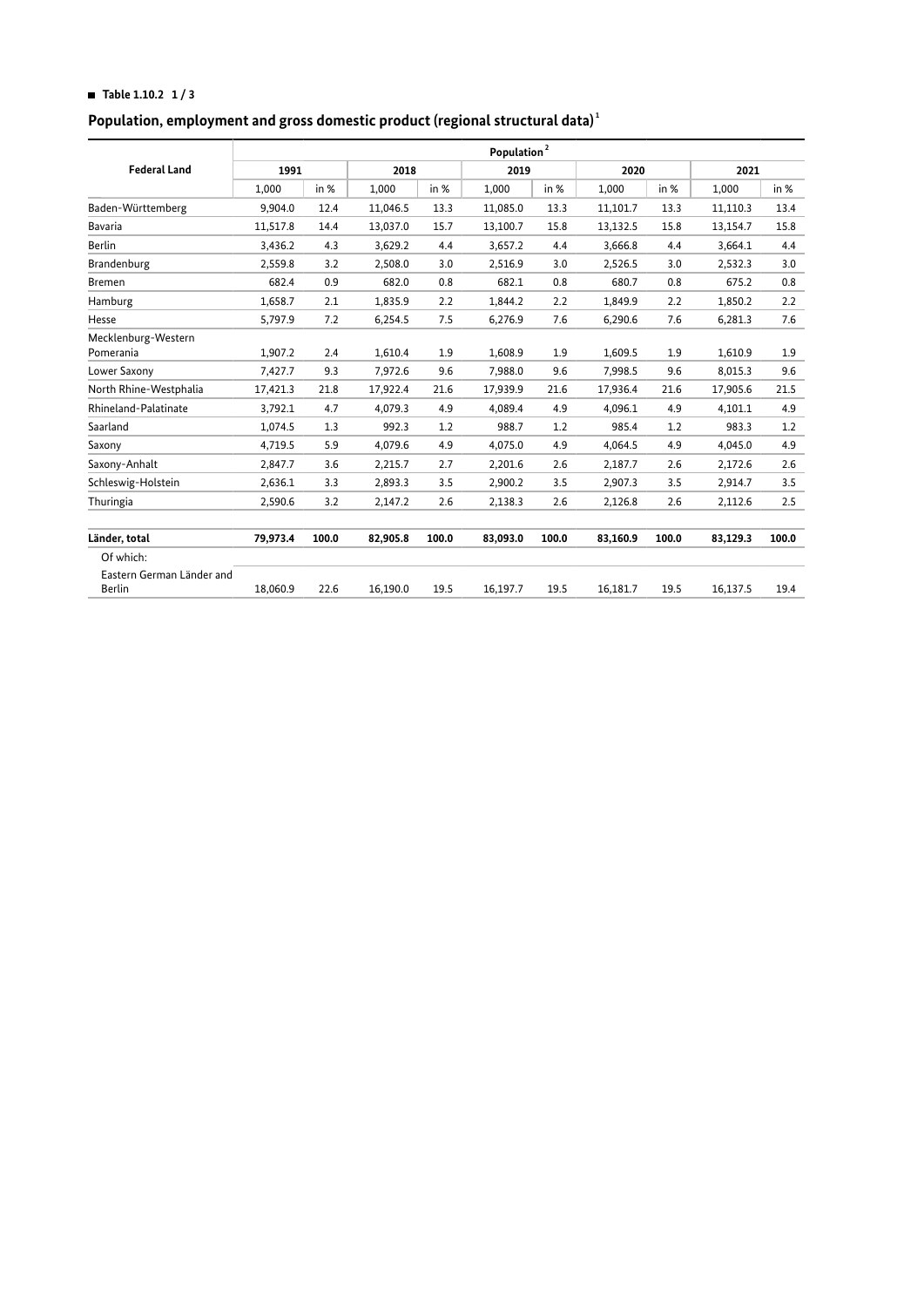# **HI Table 1.10.2 1 / 3**

### **Population, employment and gross domestic product (regional structural data)  [1](#page-2-0)**

| Population <sup>2</sup> |       |          |       |          |       |          |       |          |       |
|-------------------------|-------|----------|-------|----------|-------|----------|-------|----------|-------|
| 1991                    |       | 2018     |       | 2019     |       | 2020     |       | 2021     |       |
| 1,000                   | in %  | 1,000    | in %  | 1,000    | in %  | 1,000    | in %  | 1,000    | in %  |
| 9,904.0                 | 12.4  | 11,046.5 | 13.3  | 11,085.0 | 13.3  | 11,101.7 | 13.3  | 11,110.3 | 13.4  |
| 11,517.8                | 14.4  | 13,037.0 | 15.7  | 13,100.7 | 15.8  | 13,132.5 | 15.8  | 13,154.7 | 15.8  |
| 3,436.2                 | 4.3   | 3,629.2  | 4.4   | 3,657.2  | 4.4   | 3,666.8  | 4.4   | 3,664.1  | 4.4   |
| 2,559.8                 | 3.2   | 2,508.0  | 3.0   | 2,516.9  | 3.0   | 2,526.5  | 3.0   | 2,532.3  | 3.0   |
| 682.4                   | 0.9   | 682.0    | 0.8   | 682.1    | 0.8   | 680.7    | 0.8   | 675.2    | 0.8   |
| 1,658.7                 | 2.1   | 1,835.9  | 2.2   | 1,844.2  | 2.2   | 1,849.9  | 2.2   | 1,850.2  | 2.2   |
| 5,797.9                 | 7.2   | 6,254.5  | 7.5   | 6,276.9  | 7.6   | 6,290.6  | 7.6   | 6,281.3  | 7.6   |
| 1,907.2                 | 2.4   | 1,610.4  | 1.9   | 1,608.9  | 1.9   | 1,609.5  | 1.9   | 1,610.9  | 1.9   |
| 7,427.7                 | 9.3   | 7,972.6  | 9.6   | 7,988.0  | 9.6   | 7,998.5  | 9.6   | 8,015.3  | 9.6   |
| 17,421.3                | 21.8  | 17,922.4 | 21.6  | 17,939.9 | 21.6  | 17,936.4 | 21.6  | 17,905.6 | 21.5  |
| 3,792.1                 | 4.7   | 4,079.3  | 4.9   | 4,089.4  | 4.9   | 4,096.1  | 4.9   | 4,101.1  | 4.9   |
| 1,074.5                 | 1.3   | 992.3    | 1.2   | 988.7    | 1.2   | 985.4    | 1.2   | 983.3    | 1.2   |
| 4,719.5                 | 5.9   | 4,079.6  | 4.9   | 4,075.0  | 4.9   | 4,064.5  | 4.9   | 4,045.0  | 4.9   |
| 2,847.7                 | 3.6   | 2,215.7  | 2.7   | 2,201.6  | 2.6   | 2,187.7  | 2.6   | 2,172.6  | 2.6   |
| 2,636.1                 | 3.3   | 2,893.3  | 3.5   | 2,900.2  | 3.5   | 2,907.3  | 3.5   | 2,914.7  | 3.5   |
| 2,590.6                 | 3.2   | 2,147.2  | 2.6   | 2,138.3  | 2.6   | 2,126.8  | 2.6   | 2,112.6  | 2.5   |
| 79,973.4                | 100.0 | 82,905.8 | 100.0 | 83,093.0 | 100.0 | 83,160.9 | 100.0 | 83,129.3 | 100.0 |
|                         |       |          |       |          |       |          |       |          |       |
| 18,060.9                | 22.6  | 16,190.0 | 19.5  | 16,197.7 | 19.5  | 16,181.7 | 19.5  | 16,137.5 | 19.4  |
|                         |       |          |       |          |       |          |       |          |       |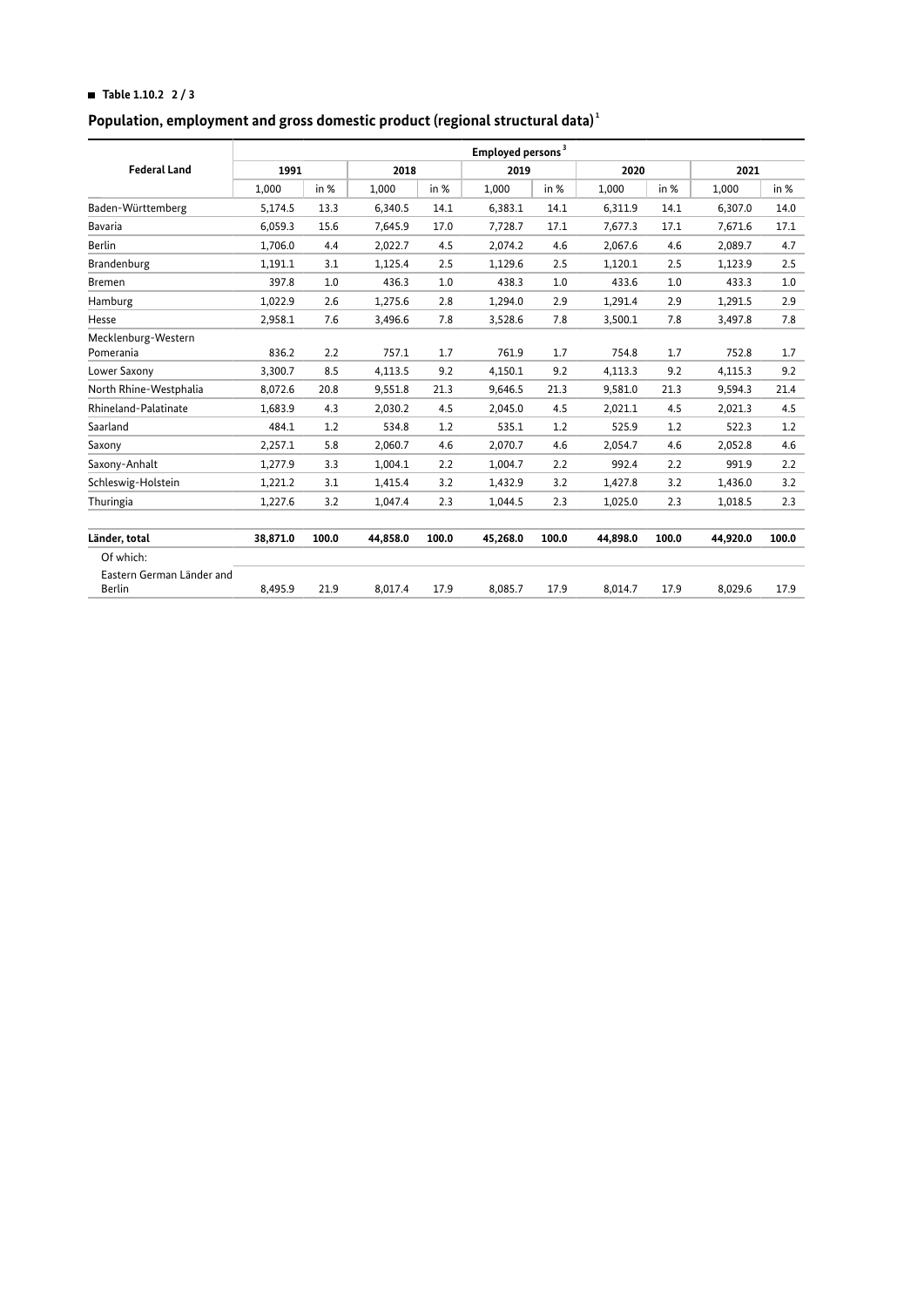# **HI Table 1.10.2 2 / 3**

### **Population, employment and gross domestic product (regional structural data)  [1](#page-2-0)**

|                                     | Employed persons <sup>3</sup> |       |          |       |          |       |          |       |          |       |
|-------------------------------------|-------------------------------|-------|----------|-------|----------|-------|----------|-------|----------|-------|
| <b>Federal Land</b>                 | 1991                          |       | 2018     |       | 2019     |       | 2020     |       | 2021     |       |
|                                     | 1,000                         | in %  | 1,000    | in %  | 1,000    | in %  | 1,000    | in %  | 1,000    | in %  |
| Baden-Württemberg                   | 5,174.5                       | 13.3  | 6,340.5  | 14.1  | 6,383.1  | 14.1  | 6,311.9  | 14.1  | 6,307.0  | 14.0  |
| <b>Bavaria</b>                      | 6.059.3                       | 15.6  | 7,645.9  | 17.0  | 7,728.7  | 17.1  | 7,677.3  | 17.1  | 7,671.6  | 17.1  |
| <b>Berlin</b>                       | 1,706.0                       | 4.4   | 2,022.7  | 4.5   | 2,074.2  | 4.6   | 2,067.6  | 4.6   | 2,089.7  | 4.7   |
| Brandenburg                         | 1,191.1                       | 3.1   | 1,125.4  | 2.5   | 1,129.6  | 2.5   | 1,120.1  | 2.5   | 1,123.9  | 2.5   |
| <b>Bremen</b>                       | 397.8                         | 1.0   | 436.3    | 1.0   | 438.3    | 1.0   | 433.6    | 1.0   | 433.3    | 1.0   |
| Hamburg                             | 1,022.9                       | 2.6   | 1,275.6  | 2.8   | 1,294.0  | 2.9   | 1,291.4  | 2.9   | 1,291.5  | 2.9   |
| Hesse                               | 2,958.1                       | 7.6   | 3,496.6  | 7.8   | 3,528.6  | 7.8   | 3,500.1  | 7.8   | 3,497.8  | 7.8   |
| Mecklenburg-Western<br>Pomerania    | 836.2                         | 2.2   | 757.1    | 1.7   | 761.9    | 1.7   | 754.8    | 1.7   | 752.8    | 1.7   |
| Lower Saxony                        | 3,300.7                       | 8.5   | 4,113.5  | 9.2   | 4,150.1  | 9.2   | 4,113.3  | 9.2   | 4,115.3  | 9.2   |
| North Rhine-Westphalia              | 8,072.6                       | 20.8  | 9,551.8  | 21.3  | 9,646.5  | 21.3  | 9,581.0  | 21.3  | 9,594.3  | 21.4  |
| Rhineland-Palatinate                | 1,683.9                       | 4.3   | 2,030.2  | 4.5   | 2,045.0  | 4.5   | 2,021.1  | 4.5   | 2,021.3  | 4.5   |
| Saarland                            | 484.1                         | 1.2   | 534.8    | 1.2   | 535.1    | 1.2   | 525.9    | 1.2   | 522.3    | 1.2   |
| Saxony                              | 2,257.1                       | 5.8   | 2,060.7  | 4.6   | 2,070.7  | 4.6   | 2,054.7  | 4.6   | 2,052.8  | 4.6   |
| Saxony-Anhalt                       | 1,277.9                       | 3.3   | 1,004.1  | 2.2   | 1,004.7  | 2.2   | 992.4    | 2.2   | 991.9    | 2.2   |
| Schleswig-Holstein                  | 1,221.2                       | 3.1   | 1,415.4  | 3.2   | 1,432.9  | 3.2   | 1,427.8  | 3.2   | 1,436.0  | 3.2   |
| Thuringia                           | 1,227.6                       | 3.2   | 1,047.4  | 2.3   | 1,044.5  | 2.3   | 1,025.0  | 2.3   | 1,018.5  | 2.3   |
| Länder, total                       | 38,871.0                      | 100.0 | 44,858.0 | 100.0 | 45,268.0 | 100.0 | 44,898.0 | 100.0 | 44,920.0 | 100.0 |
| Of which:                           |                               |       |          |       |          |       |          |       |          |       |
| Eastern German Länder and<br>Berlin | 8,495.9                       | 21.9  | 8,017.4  | 17.9  | 8,085.7  | 17.9  | 8,014.7  | 17.9  | 8,029.6  | 17.9  |